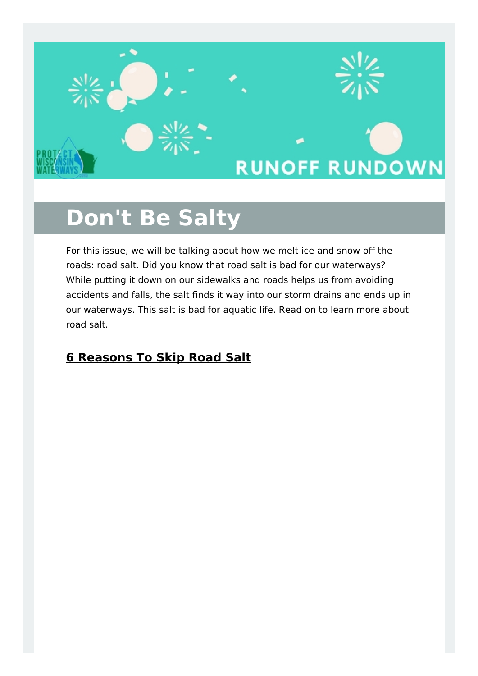

# **Don't Be Salty**

For this issue, we will be talking about how we melt ice and snow off the roads: road salt. Did you know that road salt is bad for our waterways? While putting it down on our sidewalks and roads helps us from avoiding accidents and falls, the salt finds it way into our storm drains and ends up in our waterways. This salt is bad for aquatic life. Read on to learn more about road salt.

#### **6 Reasons To Skip Road Salt**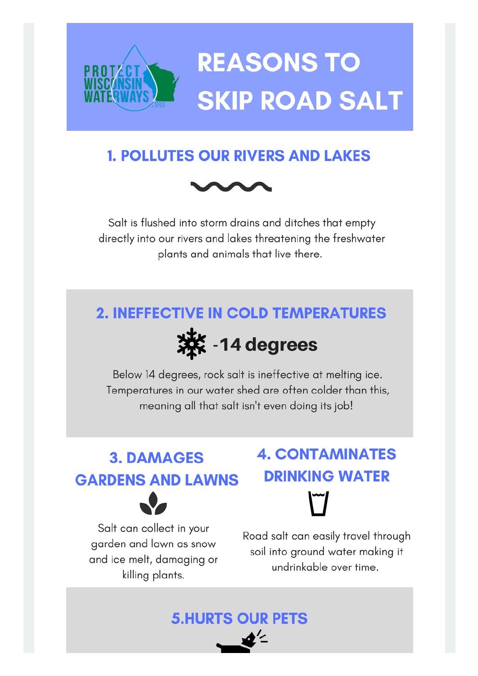

## **1. POLLUTES OUR RIVERS AND LAKES**



Salt is flushed into storm drains and ditches that empty directly into our rivers and lakes threatening the freshwater plants and animals that live there.

## **2. INEFFECTIVE IN COLD TEMPERATURES**



Below 14 degrees, rock salt is ineffective at melting ice. Temperatures in our water shed are often colder than this, meaning all that salt isn't even doing its job!

**5.HURTS OUR PETS** 

## **3. DAMAGES GARDENS AND LAWNS**



# **4. CONTAMINATES DRINKING WATER**

Salt can collect in your garden and lawn as snow and ice melt, damaging or killing plants.

#### Road salt can easily travel through soil into ground water making it undrinkable over time.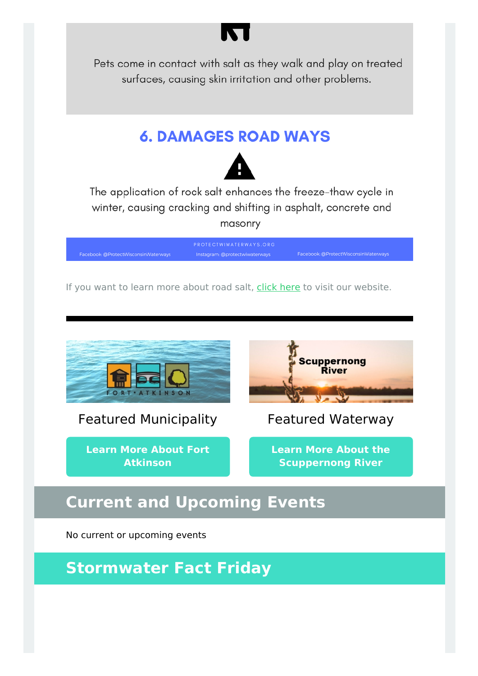

Pets come in contact with salt as they walk and play on treated surfaces, causing skin irritation and other problems.

## **6. DAMAGES ROAD WAYS**



The application of rock salt enhances the freeze-thaw cycle in winter, causing cracking and shifting in asphalt, concrete and masonry

Facebook: @ProtectWisconsinWaterways Instagram: @protectwiwaterways

If you want to learn more about road salt, click [here](http://protectwiwaterways.org/road-salt/) to visit our website.



Featured Municipality

**Learn More About Fort [Atkinson](http://protectwiwaterways.org/fort-atkinson/)**



Featured Waterway

**Learn More About the [Scuppernong](http://protectwiwaterways.org/scuppernong-river/) River**

## **Current and Upcoming Events**

No current or upcoming events

**Stormwater Fact Friday**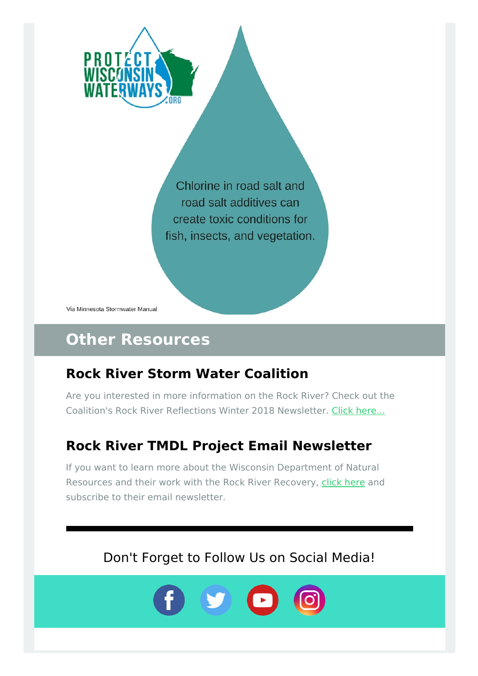

Chlorine in road salt and road salt additives can create toxic conditions for fish, insects, and vegetation.

Via Minnesota Stormwater Manual

## **Other Resources**

## **Rock River Storm Water Coalition**

Are you interested in more information on the Rock River? Check out the Coalition's Rock River Reflections Winter 2018 Newsletter. Click [here...](https://rockrivercoalition.org/wp-content/uploads/RRRWinter2018.pdf)

## **Rock River TMDL Project Email Newsletter**

If you want to learn more about the Wisconsin Department of Natural Resources and their work with the Rock River Recovery, click [here](http://dnr.wi.gov/water/tmdlDetail.aspx?key=83258055) and subscribe to their email newsletter.

Don't Forget to Follow Us on Social Media!